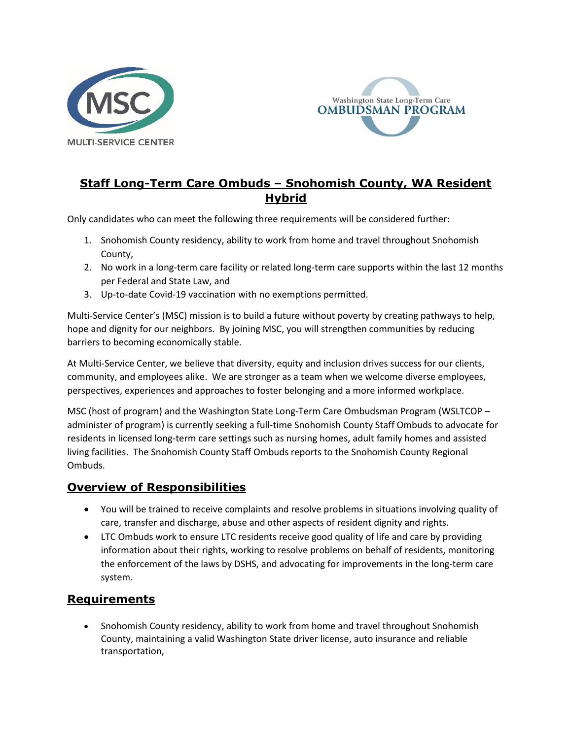



# **Staff Long-Term Care Ombuds – Snohomish County, WA Resident Hybrid**

Only candidates who can meet the following three requirements will be considered further:

- 1. Snohomish County residency, ability to work from home and travel throughout Snohomish County,
- 2. No work in a long-term care facility or related long-term care supports within the last 12 months per Federal and State Law, and
- 3. Up-to-date Covid-19 vaccination with no exemptions permitted.

Multi-Service Center's (MSC) mission is to build a future without poverty by creating pathways to help, hope and dignity for our neighbors. By joining MSC, you will strengthen communities by reducing barriers to becoming economically stable.

At Multi-Service Center, we believe that diversity, equity and inclusion drives success for our clients, community, and employees alike. We are stronger as a team when we welcome diverse employees, perspectives, experiences and approaches to foster belonging and a more informed workplace.

MSC (host of program) and the Washington State Long-Term Care Ombudsman Program (WSLTCOP – administer of program) is currently seeking a full-time Snohomish County Staff Ombuds to advocate for residents in licensed long-term care settings such as nursing homes, adult family homes and assisted living facilities. The Snohomish County Staff Ombuds reports to the Snohomish County Regional Ombuds.

### **Overview of Responsibilities**

- You will be trained to receive complaints and resolve problems in situations involving quality of care, transfer and discharge, abuse and other aspects of resident dignity and rights.
- LTC Ombuds work to ensure LTC residents receive good quality of life and care by providing information about their rights, working to resolve problems on behalf of residents, monitoring the enforcement of the laws by DSHS, and advocating for improvements in the long-term care system.

## **Requirements**

• Snohomish County residency, ability to work from home and travel throughout Snohomish County, maintaining a valid Washington State driver license, auto insurance and reliable transportation,